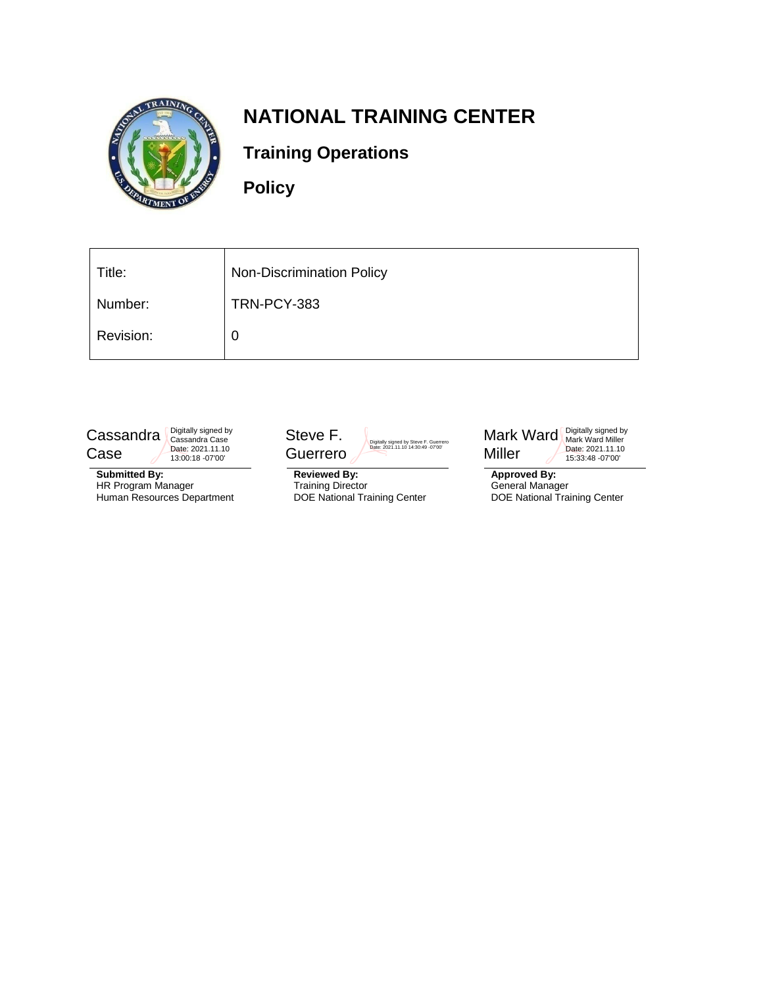

# **NATIONAL TRAINING CENTER**

# **Training Operations**

**Policy**

| Title:    | <b>Non-Discrimination Policy</b> |
|-----------|----------------------------------|
| Number:   | TRN-PCY-383                      |
| Revision: | 0                                |



**Submitted By:** HR Program Manager Human Resources Department



**Reviewed By:** Training Director DOE National Training Center



**Approved By:** General Manager DOE National Training Center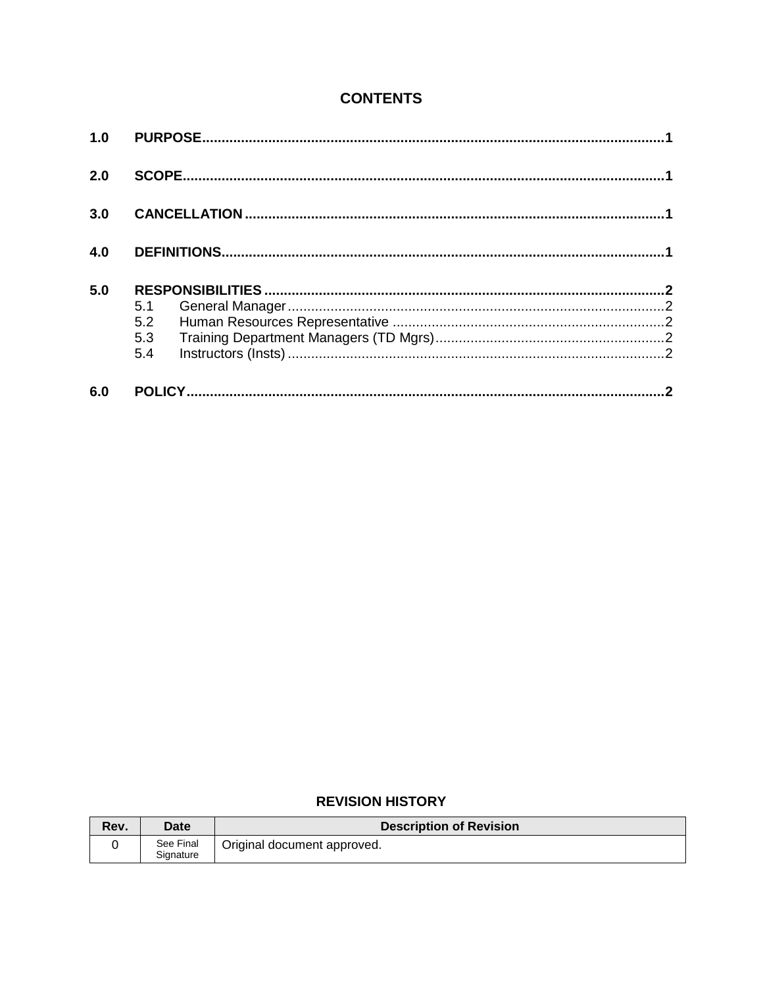### **CONTENTS**

| 1.0 |                          |  |  |
|-----|--------------------------|--|--|
| 2.0 |                          |  |  |
| 3.0 |                          |  |  |
| 4.0 |                          |  |  |
| 5.0 | 5.1<br>5.2<br>5.3<br>5.4 |  |  |
| 6.0 |                          |  |  |

#### **REVISION HISTORY**

| Rev. | Date                   | <b>Description of Revision</b> |
|------|------------------------|--------------------------------|
|      | See Final<br>Signature | Original document approved.    |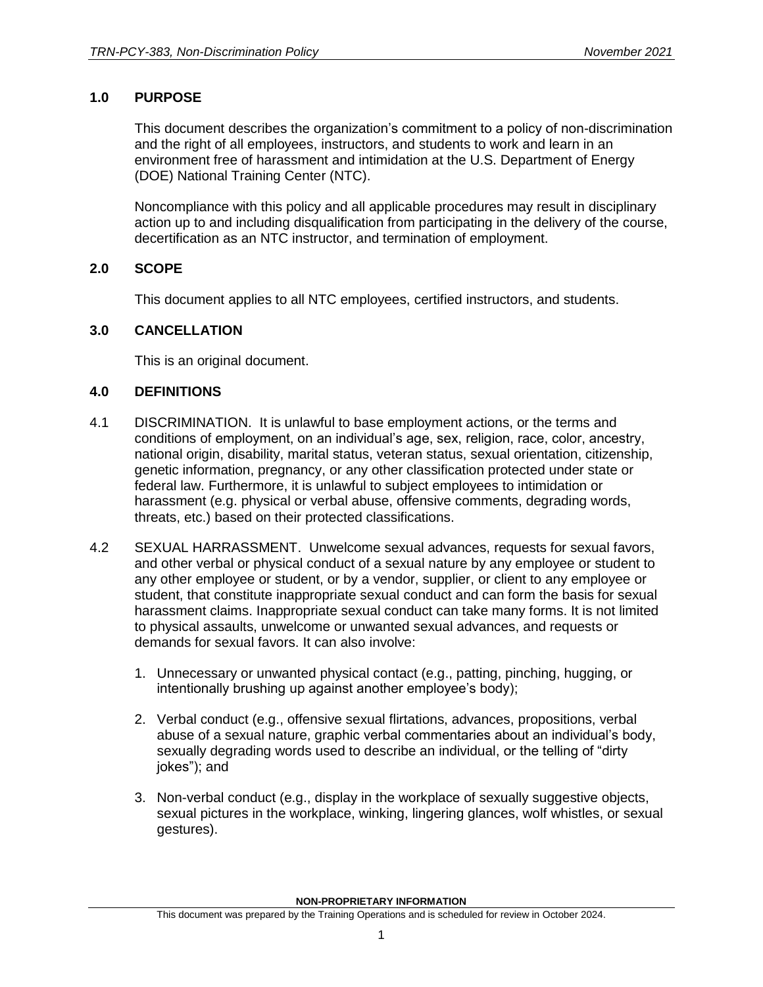#### <span id="page-2-0"></span>**1.0 PURPOSE**

This document describes the organization's commitment to a policy of non-discrimination and the right of all employees, instructors, and students to work and learn in an environment free of harassment and intimidation at the U.S. Department of Energy (DOE) National Training Center (NTC).

Noncompliance with this policy and all applicable procedures may result in disciplinary action up to and including disqualification from participating in the delivery of the course, decertification as an NTC instructor, and termination of employment.

#### <span id="page-2-1"></span>**2.0 SCOPE**

This document applies to all NTC employees, certified instructors, and students.

#### <span id="page-2-2"></span>**3.0 CANCELLATION**

This is an original document.

#### <span id="page-2-3"></span>**4.0 DEFINITIONS**

- 4.1 DISCRIMINATION. It is unlawful to base employment actions, or the terms and conditions of employment, on an individual's age, sex, religion, race, color, ancestry, national origin, disability, marital status, veteran status, sexual orientation, citizenship, genetic information, pregnancy, or any other classification protected under state or federal law. Furthermore, it is unlawful to subject employees to intimidation or harassment (e.g. physical or verbal abuse, offensive comments, degrading words, threats, etc.) based on their protected classifications.
- 4.2 SEXUAL HARRASSMENT. Unwelcome sexual advances, requests for sexual favors, and other verbal or physical conduct of a sexual nature by any employee or student to any other employee or student, or by a vendor, supplier, or client to any employee or student, that constitute inappropriate sexual conduct and can form the basis for sexual harassment claims. Inappropriate sexual conduct can take many forms. It is not limited to physical assaults, unwelcome or unwanted sexual advances, and requests or demands for sexual favors. It can also involve:
	- 1. Unnecessary or unwanted physical contact (e.g., patting, pinching, hugging, or intentionally brushing up against another employee's body);
	- 2. Verbal conduct (e.g., offensive sexual flirtations, advances, propositions, verbal abuse of a sexual nature, graphic verbal commentaries about an individual's body, sexually degrading words used to describe an individual, or the telling of "dirty jokes"); and
	- 3. Non-verbal conduct (e.g., display in the workplace of sexually suggestive objects, sexual pictures in the workplace, winking, lingering glances, wolf whistles, or sexual gestures).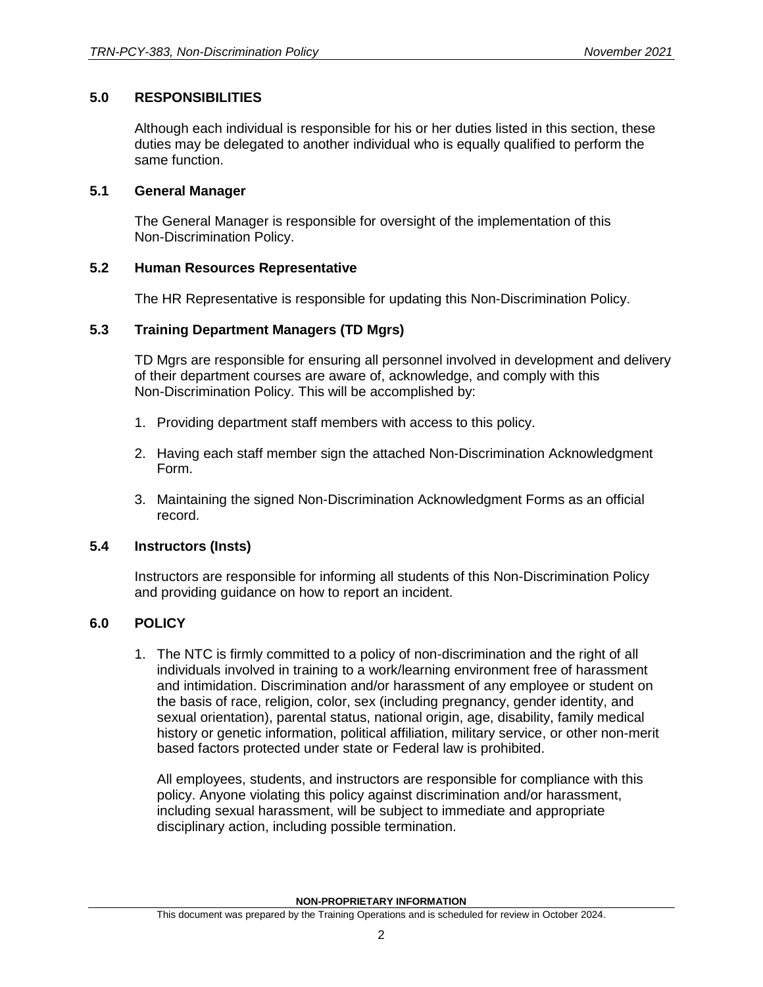#### <span id="page-3-0"></span>**5.0 RESPONSIBILITIES**

Although each individual is responsible for his or her duties listed in this section, these duties may be delegated to another individual who is equally qualified to perform the same function.

#### <span id="page-3-1"></span>**5.1 General Manager**

The General Manager is responsible for oversight of the implementation of this Non-Discrimination Policy.

#### <span id="page-3-2"></span>**5.2 Human Resources Representative**

The HR Representative is responsible for updating this Non-Discrimination Policy.

#### <span id="page-3-3"></span>**5.3 Training Department Managers (TD Mgrs)**

TD Mgrs are responsible for ensuring all personnel involved in development and delivery of their department courses are aware of, acknowledge, and comply with this Non-Discrimination Policy. This will be accomplished by:

- 1. Providing department staff members with access to this policy.
- 2. Having each staff member sign the attached Non-Discrimination Acknowledgment Form.
- 3. Maintaining the signed Non-Discrimination Acknowledgment Forms as an official record.

#### <span id="page-3-4"></span>**5.4 Instructors (Insts)**

Instructors are responsible for informing all students of this Non-Discrimination Policy and providing guidance on how to report an incident.

#### <span id="page-3-5"></span>**6.0 POLICY**

1. The NTC is firmly committed to a policy of non-discrimination and the right of all individuals involved in training to a work/learning environment free of harassment and intimidation. Discrimination and/or harassment of any employee or student on the basis of race, religion, color, sex (including pregnancy, gender identity, and sexual orientation), parental status, national origin, age, disability, family medical history or genetic information, political affiliation, military service, or other non-merit based factors protected under state or Federal law is prohibited.

All employees, students, and instructors are responsible for compliance with this policy. Anyone violating this policy against discrimination and/or harassment, including sexual harassment, will be subject to immediate and appropriate disciplinary action, including possible termination.

**NON-PROPRIETARY INFORMATION**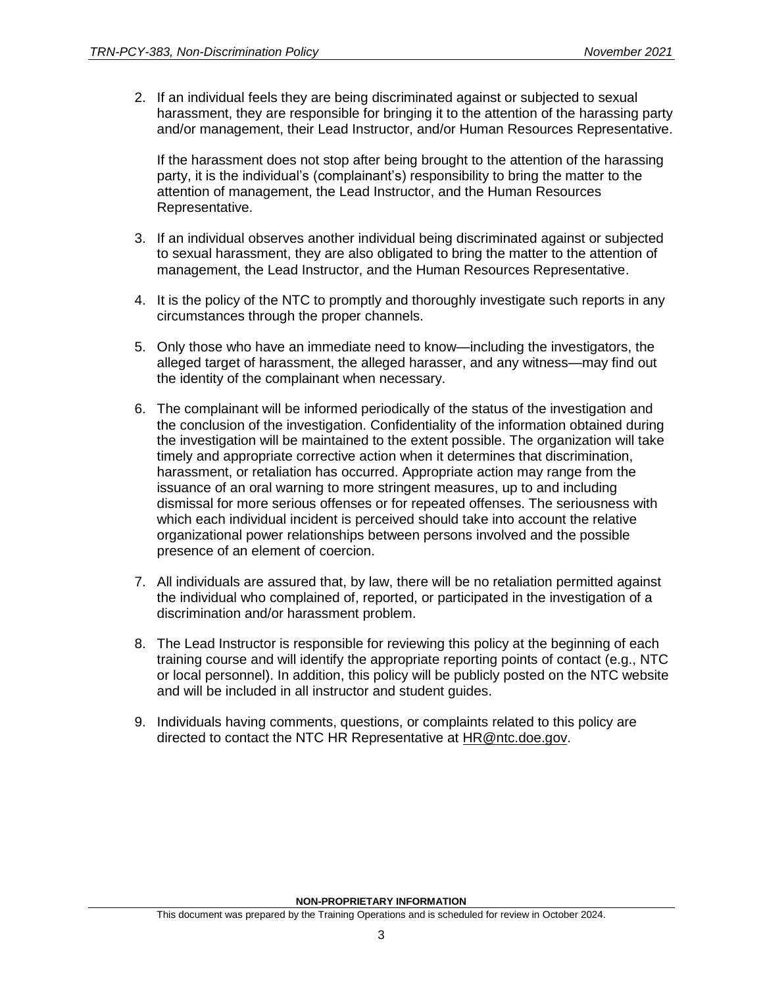2. If an individual feels they are being discriminated against or subjected to sexual harassment, they are responsible for bringing it to the attention of the harassing party and/or management, their Lead Instructor, and/or Human Resources Representative.

If the harassment does not stop after being brought to the attention of the harassing party, it is the individual's (complainant's) responsibility to bring the matter to the attention of management, the Lead Instructor, and the Human Resources Representative.

- 3. If an individual observes another individual being discriminated against or subjected to sexual harassment, they are also obligated to bring the matter to the attention of management, the Lead Instructor, and the Human Resources Representative.
- 4. It is the policy of the NTC to promptly and thoroughly investigate such reports in any circumstances through the proper channels.
- 5. Only those who have an immediate need to know—including the investigators, the alleged target of harassment, the alleged harasser, and any witness—may find out the identity of the complainant when necessary.
- 6. The complainant will be informed periodically of the status of the investigation and the conclusion of the investigation. Confidentiality of the information obtained during the investigation will be maintained to the extent possible. The organization will take timely and appropriate corrective action when it determines that discrimination, harassment, or retaliation has occurred. Appropriate action may range from the issuance of an oral warning to more stringent measures, up to and including dismissal for more serious offenses or for repeated offenses. The seriousness with which each individual incident is perceived should take into account the relative organizational power relationships between persons involved and the possible presence of an element of coercion.
- 7. All individuals are assured that, by law, there will be no retaliation permitted against the individual who complained of, reported, or participated in the investigation of a discrimination and/or harassment problem.
- 8. The Lead Instructor is responsible for reviewing this policy at the beginning of each training course and will identify the appropriate reporting points of contact (e.g., NTC or local personnel). In addition, this policy will be publicly posted on the NTC website and will be included in all instructor and student guides.
- 9. Individuals having comments, questions, or complaints related to this policy are directed to contact the NTC HR Representative at **HR@ntc.doe.gov.**

**NON-PROPRIETARY INFORMATION**